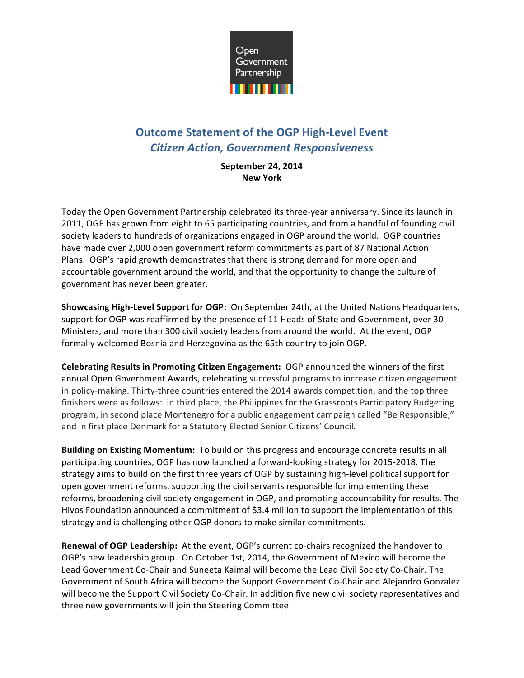

# **Outcome Statement of the OGP High-Level Event** *Citizen Action, Government Responsiveness*

**September 24, 2014 New York**

Today the Open Government Partnership celebrated its three-year anniversary. Since its launch in 2011, OGP has grown from eight to 65 participating countries, and from a handful of founding civil society leaders to hundreds of organizations engaged in OGP around the world. OGP countries have made over 2,000 open government reform commitments as part of 87 National Action Plans. OGP's rapid growth demonstrates that there is strong demand for more open and accountable government around the world, and that the opportunity to change the culture of government has never been greater.

**Showcasing High-Level Support for OGP:** On September 24th, at the United Nations Headquarters, support for OGP was reaffirmed by the presence of 11 Heads of State and Government, over 30 Ministers, and more than 300 civil society leaders from around the world. At the event, OGP formally welcomed Bosnia and Herzegovina as the 65th country to join OGP.

**Celebrating Results in Promoting Citizen Engagement:** OGP announced the winners of the first annual Open Government Awards, celebrating successful programs to increase citizen engagement in policy-making. Thirty-three countries entered the 2014 awards competition, and the top three finishers were as follows: in third place, the Philippines for the Grassroots Participatory Budgeting program, in second place Montenegro for a public engagement campaign called "Be Responsible," and in first place Denmark for a Statutory Elected Senior Citizens' Council.

**Building on Existing Momentum:** To build on this progress and encourage concrete results in all participating countries, OGP has now launched a forward-looking strategy for 2015-2018. The strategy aims to build on the first three years of OGP by sustaining high-level political support for open government reforms, supporting the civil servants responsible for implementing these reforms, broadening civil society engagement in OGP, and promoting accountability for results. The Hivos Foundation announced a commitment of \$3.4 million to support the implementation of this strategy and is challenging other OGP donors to make similar commitments.

Renewal of OGP Leadership: At the event, OGP's current co-chairs recognized the handover to OGP's new leadership group. On October 1st, 2014, the Government of Mexico will become the Lead Government Co-Chair and Suneeta Kaimal will become the Lead Civil Society Co-Chair. The Government of South Africa will become the Support Government Co-Chair and Alejandro Gonzalez will become the Support Civil Society Co-Chair. In addition five new civil society representatives and three new governments will join the Steering Committee.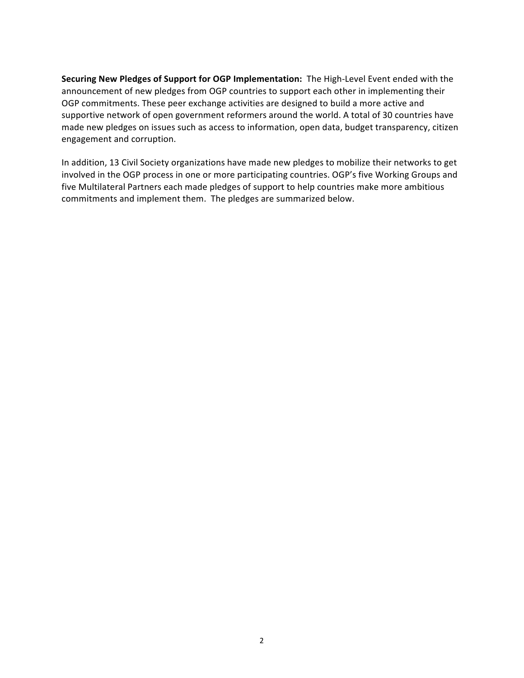**Securing New Pledges of Support for OGP Implementation:** The High-Level Event ended with the announcement of new pledges from OGP countries to support each other in implementing their OGP commitments. These peer exchange activities are designed to build a more active and supportive network of open government reformers around the world. A total of 30 countries have made new pledges on issues such as access to information, open data, budget transparency, citizen engagement and corruption.

In addition, 13 Civil Society organizations have made new pledges to mobilize their networks to get involved in the OGP process in one or more participating countries. OGP's five Working Groups and five Multilateral Partners each made pledges of support to help countries make more ambitious commitments and implement them. The pledges are summarized below.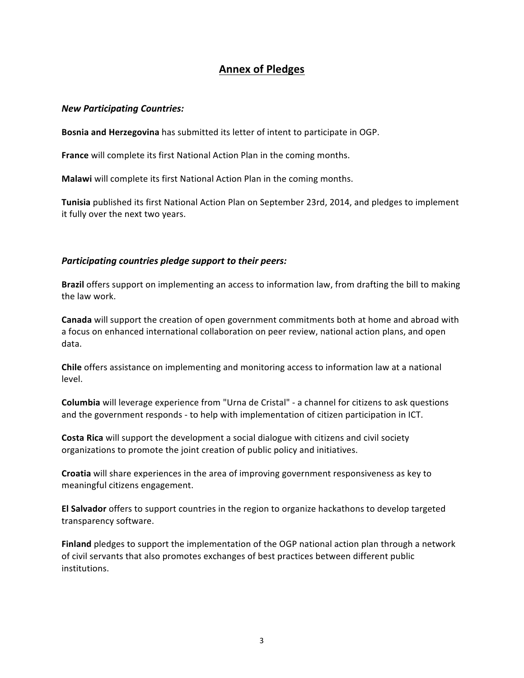## **Annex of Pledges**

#### *New Participating Countries:*

**Bosnia and Herzegovina** has submitted its letter of intent to participate in OGP.

**France** will complete its first National Action Plan in the coming months.

**Malawi** will complete its first National Action Plan in the coming months.

**Tunisia** published its first National Action Plan on September 23rd, 2014, and pledges to implement it fully over the next two years.

#### *Participating countries pledge support to their peers:*

**Brazil** offers support on implementing an access to information law, from drafting the bill to making the law work.

**Canada** will support the creation of open government commitments both at home and abroad with a focus on enhanced international collaboration on peer review, national action plans, and open data. 

**Chile** offers assistance on implementing and monitoring access to information law at a national level.

**Columbia** will leverage experience from "Urna de Cristal" - a channel for citizens to ask questions and the government responds - to help with implementation of citizen participation in ICT.

**Costa Rica** will support the development a social dialogue with citizens and civil society organizations to promote the joint creation of public policy and initiatives.

**Croatia** will share experiences in the area of improving government responsiveness as key to meaningful citizens engagement.

**El Salvador** offers to support countries in the region to organize hackathons to develop targeted transparency software.

**Finland** pledges to support the implementation of the OGP national action plan through a network of civil servants that also promotes exchanges of best practices between different public institutions.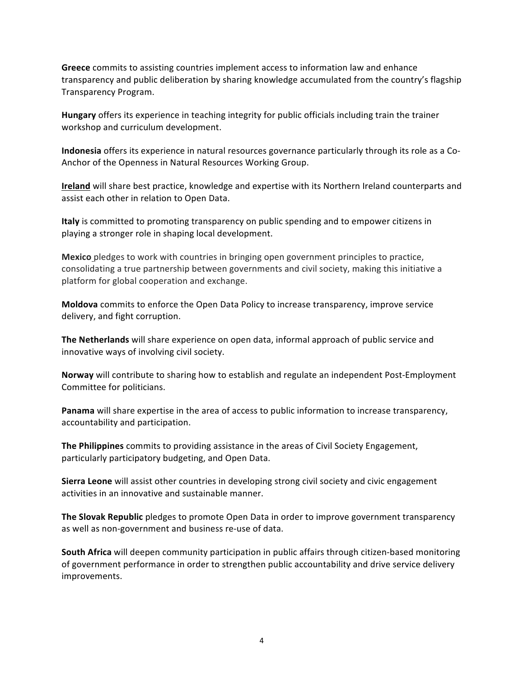**Greece** commits to assisting countries implement access to information law and enhance transparency and public deliberation by sharing knowledge accumulated from the country's flagship Transparency Program.

**Hungary** offers its experience in teaching integrity for public officials including train the trainer workshop and curriculum development.

**Indonesia** offers its experience in natural resources governance particularly through its role as a Co-Anchor of the Openness in Natural Resources Working Group.

**Ireland** will share best practice, knowledge and expertise with its Northern Ireland counterparts and assist each other in relation to Open Data.

**Italy** is committed to promoting transparency on public spending and to empower citizens in playing a stronger role in shaping local development.

**Mexico** pledges to work with countries in bringing open government principles to practice, consolidating a true partnership between governments and civil society, making this initiative a platform for global cooperation and exchange.

**Moldova** commits to enforce the Open Data Policy to increase transparency, improve service delivery, and fight corruption.

**The Netherlands** will share experience on open data, informal approach of public service and innovative ways of involving civil society.

**Norway** will contribute to sharing how to establish and regulate an independent Post-Employment Committee for politicians.

**Panama** will share expertise in the area of access to public information to increase transparency, accountability and participation.

**The Philippines** commits to providing assistance in the areas of Civil Society Engagement, particularly participatory budgeting, and Open Data.

**Sierra Leone** will assist other countries in developing strong civil society and civic engagement activities in an innovative and sustainable manner.

**The Slovak Republic** pledges to promote Open Data in order to improve government transparency as well as non-government and business re-use of data.

**South Africa** will deepen community participation in public affairs through citizen-based monitoring of government performance in order to strengthen public accountability and drive service delivery improvements.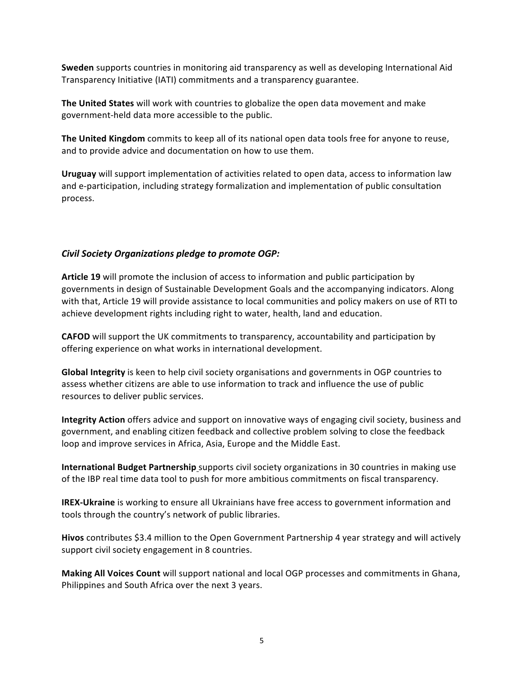**Sweden** supports countries in monitoring aid transparency as well as developing International Aid Transparency Initiative (IATI) commitments and a transparency guarantee.

**The United States** will work with countries to globalize the open data movement and make government-held data more accessible to the public.

**The United Kingdom** commits to keep all of its national open data tools free for anyone to reuse, and to provide advice and documentation on how to use them.

**Uruguay** will support implementation of activities related to open data, access to information law and e-participation, including strategy formalization and implementation of public consultation process. 

### *Civil Society Organizations pledge to promote OGP:*

Article 19 will promote the inclusion of access to information and public participation by governments in design of Sustainable Development Goals and the accompanying indicators. Along with that, Article 19 will provide assistance to local communities and policy makers on use of RTI to achieve development rights including right to water, health, land and education.

**CAFOD** will support the UK commitments to transparency, accountability and participation by offering experience on what works in international development.

**Global Integrity** is keen to help civil society organisations and governments in OGP countries to assess whether citizens are able to use information to track and influence the use of public resources to deliver public services.

**Integrity Action** offers advice and support on innovative ways of engaging civil society, business and government, and enabling citizen feedback and collective problem solving to close the feedback loop and improve services in Africa, Asia, Europe and the Middle East.

**International Budget Partnership** supports civil society organizations in 30 countries in making use of the IBP real time data tool to push for more ambitious commitments on fiscal transparency.

**IREX-Ukraine** is working to ensure all Ukrainians have free access to government information and tools through the country's network of public libraries.

**Hivos** contributes \$3.4 million to the Open Government Partnership 4 year strategy and will actively support civil society engagement in 8 countries.

**Making All Voices Count** will support national and local OGP processes and commitments in Ghana, Philippines and South Africa over the next 3 years.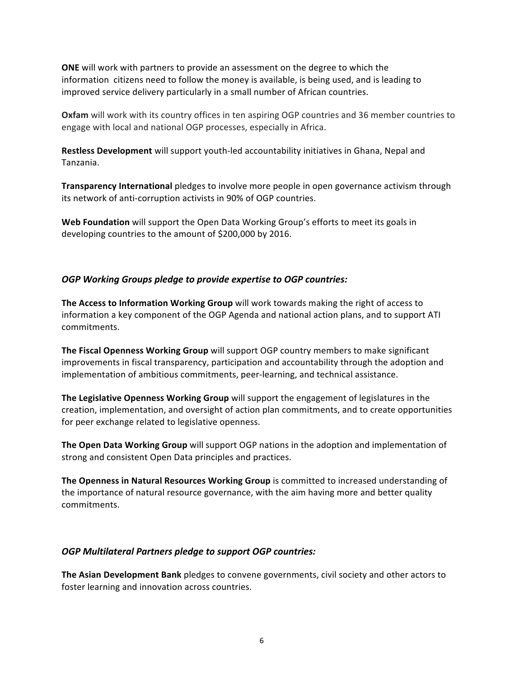**ONE** will work with partners to provide an assessment on the degree to which the information citizens need to follow the money is available, is being used, and is leading to improved service delivery particularly in a small number of African countries.

**Oxfam** will work with its country offices in ten aspiring OGP countries and 36 member countries to engage with local and national OGP processes, especially in Africa.

**Restless Development** will support youth-led accountability initiatives in Ghana, Nepal and Tanzania. 

**Transparency International** pledges to involve more people in open governance activism through its network of anti-corruption activists in 90% of OGP countries.

**Web Foundation** will support the Open Data Working Group's efforts to meet its goals in developing countries to the amount of \$200,000 by 2016.

#### **OGP** Working Groups pledge to provide expertise to OGP countries:

**The Access to Information Working Group** will work towards making the right of access to information a key component of the OGP Agenda and national action plans, and to support ATI commitments.

**The Fiscal Openness Working Group** will support OGP country members to make significant improvements in fiscal transparency, participation and accountability through the adoption and implementation of ambitious commitments, peer-learning, and technical assistance.

The Legislative Openness Working Group will support the engagement of legislatures in the creation, implementation, and oversight of action plan commitments, and to create opportunities for peer exchange related to legislative openness.

**The Open Data Working Group** will support OGP nations in the adoption and implementation of strong and consistent Open Data principles and practices.

**The Openness in Natural Resources Working Group** is committed to increased understanding of the importance of natural resource governance, with the aim having more and better quality commitments.

#### *OGP Multilateral Partners pledge to support OGP countries:*

**The Asian Development Bank** pledges to convene governments, civil society and other actors to foster learning and innovation across countries.